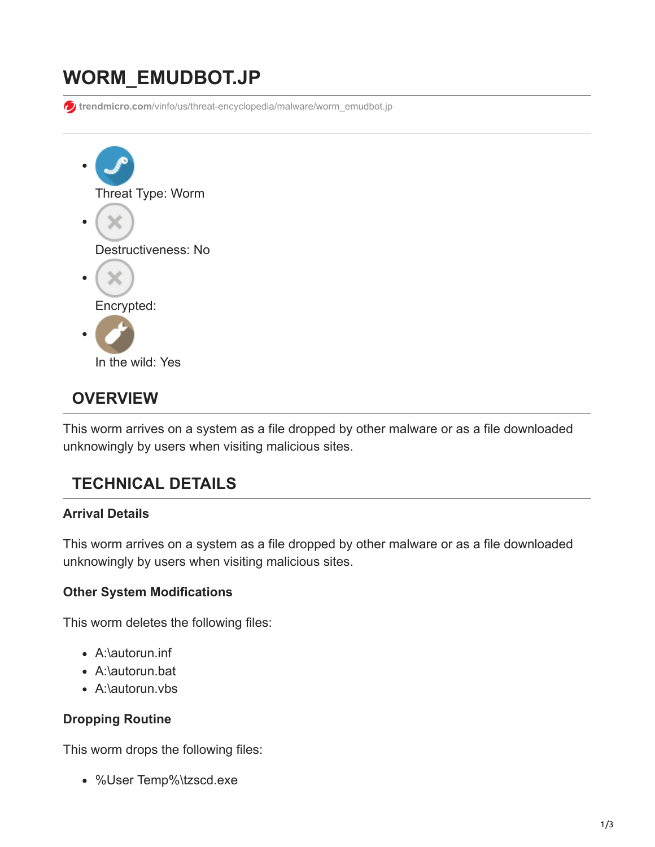# **WORM\_EMUDBOT.JP**

**trendmicro.com**[/vinfo/us/threat-encyclopedia/malware/worm\\_emudbot.jp](https://www.trendmicro.com/vinfo/us/threat-encyclopedia/malware/worm_emudbot.jp)



# **OVERVIEW**

This worm arrives on a system as a file dropped by other malware or as a file downloaded unknowingly by users when visiting malicious sites.

# **TECHNICAL DETAILS**

### **Arrival Details**

This worm arrives on a system as a file dropped by other malware or as a file downloaded unknowingly by users when visiting malicious sites.

### **Other System Modifications**

This worm deletes the following files:

- A:\autorun.inf
- A:\autorun.bat
- A:\autorun.vbs

### **Dropping Routine**

This worm drops the following files:

%User Temp%\tzscd.exe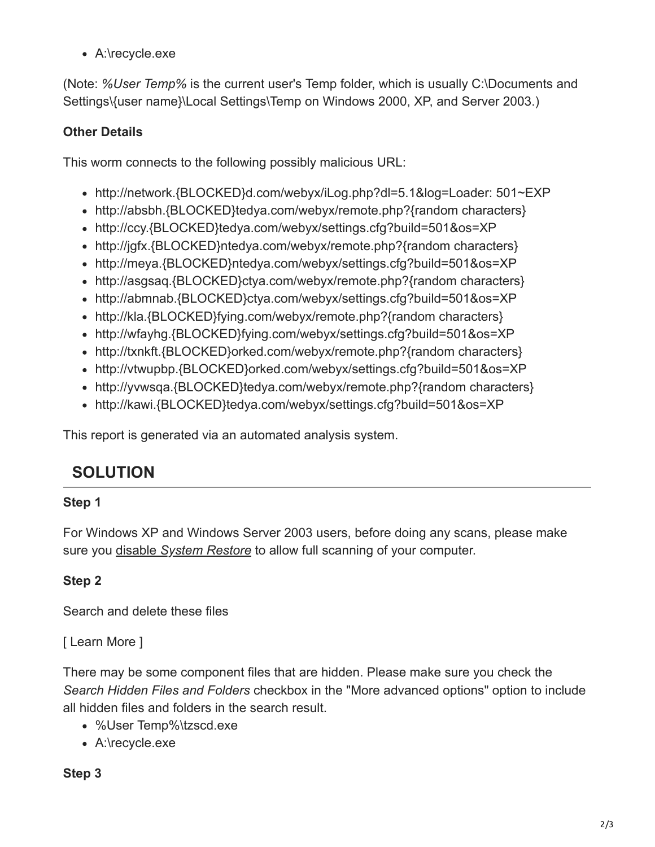A:\recycle.exe

(Note: *%User Temp%* is the current user's Temp folder, which is usually C:\Documents and Settings\{user name}\Local Settings\Temp on Windows 2000, XP, and Server 2003.)

## **Other Details**

This worm connects to the following possibly malicious URL:

- http://network.{BLOCKED}d.com/webyx/iLog.php?dl=5.1&log=Loader: 501~EXP
- http://absbh.{BLOCKED}tedya.com/webyx/remote.php?{random characters}
- http://ccy.{BLOCKED}tedya.com/webyx/settings.cfg?build=501&os=XP
- http://jgfx.{BLOCKED}ntedya.com/webyx/remote.php?{random characters}
- http://meya.{BLOCKED}ntedya.com/webyx/settings.cfg?build=501&os=XP
- http://asgsaq.{BLOCKED}ctya.com/webyx/remote.php?{random characters}
- http://abmnab.{BLOCKED}ctya.com/webyx/settings.cfg?build=501&os=XP
- http://kla.{BLOCKED}fying.com/webyx/remote.php?{random characters}
- http://wfayhg.{BLOCKED}fying.com/webyx/settings.cfg?build=501&os=XP
- http://txnkft.{BLOCKED}orked.com/webyx/remote.php?{random characters}
- http://vtwupbp.{BLOCKED}orked.com/webyx/settings.cfg?build=501&os=XP
- http://yvwsqa.{BLOCKED}tedya.com/webyx/remote.php?{random characters}
- http://kawi.{BLOCKED}tedya.com/webyx/settings.cfg?build=501&os=XP

This report is generated via an automated analysis system.

# **SOLUTION**

### **Step 1**

For Windows XP and Windows Server 2003 users, before doing any scans, please make sure you disable *[System Restore](https://www.trendmicro.com/vinfo/us/security/definition/system-restore)* to allow full scanning of your computer.

### **Step 2**

Search and delete these files

### [ Learn More ]

There may be some component files that are hidden. Please make sure you check the *Search Hidden Files and Folders* checkbox in the "More advanced options" option to include all hidden files and folders in the search result.

- %User Temp%\tzscd.exe
- A:\recycle.exe

### **Step 3**